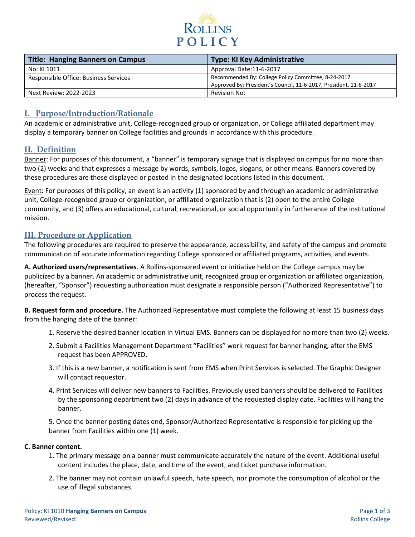

| Title: Hanging Banners on Campus      | <b>Type: KI Key Administrative</b>                                |
|---------------------------------------|-------------------------------------------------------------------|
| No: KI 1011                           | Approval Date:11-6-2017                                           |
| Responsible Office: Business Services | Recommended By: College Policy Committee, 8-24-2017               |
|                                       | Approved By: President's Council, 11-6-2017; President, 11-6-2017 |
| Next Review: 2022-2023                | Revision No:                                                      |

## **I. Purpose/Introduction/Rationale**

An academic or administrative unit, College-recognized group or organization, or College affiliated department may display a temporary banner on College facilities and grounds in accordance with this procedure.

### **II. Definition**

Banner: For purposes of this document, a "banner" is temporary signage that is displayed on campus for no more than two (2) weeks and that expresses a message by words, symbols, logos, slogans, or other means. Banners covered by these procedures are those displayed or posted in the designated locations listed in this document.

Event: For purposes of this policy, an event is an activity (1) sponsored by and through an academic or administrative unit, College-recognized group or organization, or affiliated organization that is (2) open to the entire College community, and (3) offers an educational, cultural, recreational, or social opportunity in furtherance of the institutional mission.

### **III. Procedure or Application**

The following procedures are required to preserve the appearance, accessibility, and safety of the campus and promote communication of accurate information regarding College sponsored or affiliated programs, activities, and events.

**A. Authorized users/representatives**. A Rollins-sponsored event or initiative held on the College campus may be publicized by a banner. An academic or administrative unit, recognized group or organization or affiliated organization, (hereafter, "Sponsor") requesting authorization must designate a responsible person ("Authorized Representative") to process the request.

**B. Request form and procedure.** The Authorized Representative must complete the following at least 15 business days from the hanging date of the banner:

- 1. Reserve the desired banner location in Virtual EMS. Banners can be displayed for no more than two (2) weeks.
- 2. Submit a Facilities Management Department "Facilities" work request for banner hanging, after the EMS request has been APPROVED.
- 3. If this is a new banner, a notification is sent from EMS when Print Services is selected. The Graphic Designer will contact requestor.
- 4. Print Services will deliver new banners to Facilities. Previously used banners should be delivered to Facilities by the sponsoring department two (2) days in advance of the requested display date. Facilities will hang the banner.

5. Once the banner posting dates end, Sponsor/Authorized Representative is responsible for picking up the banner from Facilities within one (1) week.

#### **C. Banner content.**

- 1. The primary message on a banner must communicate accurately the nature of the event. Additional useful content includes the place, date, and time of the event, and ticket purchase information.
- 2. The banner may not contain unlawful speech, hate speech, nor promote the consumption of alcohol or the use of illegal substances.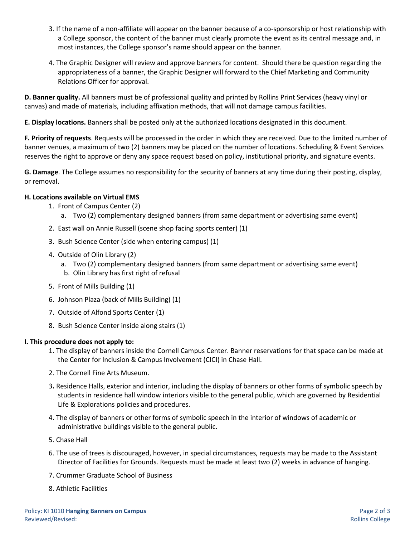- 3. If the name of a non-affiliate will appear on the banner because of a co-sponsorship or host relationship with a College sponsor, the content of the banner must clearly promote the event as its central message and, in most instances, the College sponsor's name should appear on the banner.
- 4. The Graphic Designer will review and approve banners for content. Should there be question regarding the appropriateness of a banner, the Graphic Designer will forward to the Chief Marketing and Community Relations Officer for approval.

**D. Banner quality.** All banners must be of professional quality and printed by Rollins Print Services (heavy vinyl or canvas) and made of materials, including affixation methods, that will not damage campus facilities.

**E. Display locations.** Banners shall be posted only at the authorized locations designated in this document.

**F. Priority of requests**. Requests will be processed in the order in which they are received. Due to the limited number of banner venues, a maximum of two (2) banners may be placed on the number of locations. Scheduling & Event Services reserves the right to approve or deny any space request based on policy, institutional priority, and signature events.

**G. Damage**. The College assumes no responsibility for the security of banners at any time during their posting, display, or removal.

#### **H. Locations available on Virtual EMS**

- 1. Front of Campus Center (2)
	- a. Two (2) complementary designed banners (from same department or advertising same event)
- 2. East wall on Annie Russell (scene shop facing sports center) (1)
- 3. Bush Science Center (side when entering campus) (1)
- 4. Outside of Olin Library (2)
	- a. Two (2) complementary designed banners (from same department or advertising same event) b. Olin Library has first right of refusal
- 5. Front of Mills Building (1)
- 6. Johnson Plaza (back of Mills Building) (1)
- 7. Outside of Alfond Sports Center (1)
- 8. Bush Science Center inside along stairs (1)

#### **I. This procedure does not apply to:**

- 1. The display of banners inside the Cornell Campus Center. Banner reservations for that space can be made at the Center for Inclusion & Campus Involvement (CICI) in Chase Hall.
- 2. The Cornell Fine Arts Museum.
- 3**.** Residence Halls, exterior and interior, including the display of banners or other forms of symbolic speech by students in residence hall window interiors visible to the general public, which are governed by Residential Life & Explorations policies and procedures.
- 4. The display of banners or other forms of symbolic speech in the interior of windows of academic or administrative buildings visible to the general public.
- 5. Chase Hall
- 6. The use of trees is discouraged, however, in special circumstances, requests may be made to the Assistant Director of Facilities for Grounds. Requests must be made at least two (2) weeks in advance of hanging.
- 7. Crummer Graduate School of Business
- 8. Athletic Facilities